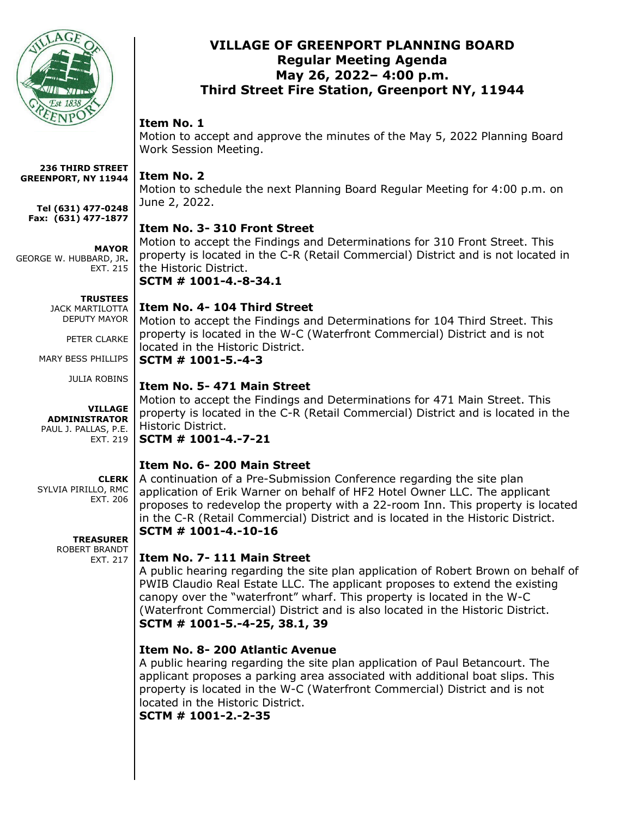

### **VILLAGE OF GREENPORT PLANNING BOARD Regular Meeting Agenda May 26, 2022– 4:00 p.m. Third Street Fire Station, Greenport NY, 11944**

### **Item No. 1**

Motion to accept and approve the minutes of the May 5, 2022 Planning Board Work Session Meeting.

### **Item No. 2**

Motion to schedule the next Planning Board Regular Meeting for 4:00 p.m. on June 2, 2022.

# **Item No. 3- 310 Front Street**

Motion to accept the Findings and Determinations for 310 Front Street. This property is located in the C-R (Retail Commercial) District and is not located in the Historic District.

**SCTM # 1001-4.-8-34.1**

#### **TRUSTEES**

**MAYOR**

EXT. 215

JACK MARTILOTTA DEPUTY MAYOR

**236 THIRD STREET GREENPORT, NY 11944**

**Tel (631) 477-0248 Fax: (631) 477-1877**

GEORGE W. HUBBARD, JR**.**

PETER CLARKE

MARY BESS PHILLIPS

JULIA ROBINS

#### **VILLAGE ADMINISTRATOR** PAUL J. PALLAS, P.E. EXT. 219

# **CLERK**

SYLVIA PIRILLO, RMC EXT. 206

> **TREASURER** ROBERT BRANDT EXT. 217

# **Item No. 4- 104 Third Street**

Motion to accept the Findings and Determinations for 104 Third Street. This property is located in the W-C (Waterfront Commercial) District and is not located in the Historic District. **SCTM # 1001-5.-4-3**

### **Item No. 5- 471 Main Street**

Motion to accept the Findings and Determinations for 471 Main Street. This property is located in the C-R (Retail Commercial) District and is located in the Historic District.

#### **SCTM # 1001-4.-7-21**

# **Item No. 6- 200 Main Street**

A continuation of a Pre-Submission Conference regarding the site plan application of Erik Warner on behalf of HF2 Hotel Owner LLC. The applicant proposes to redevelop the property with a 22-room Inn. This property is located in the C-R (Retail Commercial) District and is located in the Historic District. **SCTM # 1001-4.-10-16**

# **Item No. 7- 111 Main Street**

A public hearing regarding the site plan application of Robert Brown on behalf of PWIB Claudio Real Estate LLC. The applicant proposes to extend the existing canopy over the "waterfront" wharf. This property is located in the W-C (Waterfront Commercial) District and is also located in the Historic District. **SCTM # 1001-5.-4-25, 38.1, 39**

# **Item No. 8- 200 Atlantic Avenue**

A public hearing regarding the site plan application of Paul Betancourt. The applicant proposes a parking area associated with additional boat slips. This property is located in the W-C (Waterfront Commercial) District and is not located in the Historic District. **SCTM # 1001-2.-2-35**